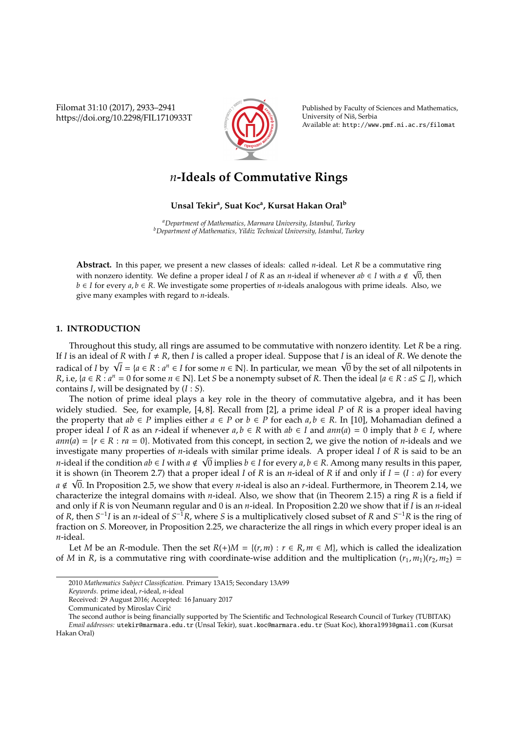Filomat 31:10 (2017), 2933–2941 https://doi.org/10.2298/FIL1710933T



Published by Faculty of Sciences and Mathematics, University of Niš, Serbia Available at: http://www.pmf.ni.ac.rs/filomat

# *n***-Ideals of Commutative Rings**

# **Unsal Tekir<sup>a</sup> , Suat Koc<sup>a</sup> , Kursat Hakan Oral<sup>b</sup>**

*<sup>a</sup>Department of Mathematics, Marmara University, Istanbul, Turkey <sup>b</sup>Department of Mathematics, Yildiz Technical University, Istanbul, Turkey*

**Abstract.** In this paper, we present a new classes of ideals: called *n*-ideal. Let *R* be a commutative ring with nonzero identity. We define a proper ideal *I* of *R* as an *n*-ideal if whenever *ab* ∈ *I* with *a* < 0, then *b* ∈ *I* for every *a*, *b* ∈ *R*. We investigate some properties of *n*-ideals analogous with prime ideals. Also, we give many examples with regard to *n*-ideals.

# **1. INTRODUCTION**

Throughout this study, all rings are assumed to be commutative with nonzero identity. Let *R* be a ring. If *I* is an ideal of *R* with  $I \neq R$ , then *I* is called a proper ideal. Suppose that *I* is an ideal of *R*. We denote the *If I* is an ideal of *K* with *I* ≠ *K*, then *I* is called a proper ideal. Suppose that *I* is an ideal of *K*. We denote the<br>radical of *I* by  $\sqrt{I} = {a \in R : a^n \in I}$  for some  $n \in \mathbb{N}}$ . In particular, we mean  $\sqrt{0}$  b *R*, i.e, { $a \in R : a^n = 0$  for some  $n \in \mathbb{N}$ }. Let *S* be a nonempty subset of *R*. Then the ideal { $a \in R : aS \subseteq I$ }, which contains *I*, will be designated by (*I* : *S*).

The notion of prime ideal plays a key role in the theory of commutative algebra, and it has been widely studied. See, for example, [4, 8]. Recall from [2], a prime ideal *P* of *R* is a proper ideal having the property that  $ab \in P$  implies either  $a \in P$  or  $b \in P$  for each  $a, b \in R$ . In [10], Mohamadian defined a proper ideal *I* of *R* as an *r*-ideal if whenever  $a, b \in R$  with  $ab \in I$  and  $ann(a) = 0$  imply that  $b \in I$ , where  $ann(a) = {r \in R : ra = 0}$ . Motivated from this concept, in section 2, we give the notion of *n*-ideals and we investigate many properties of *n*-ideals with similar prime ideals. A proper ideal *I* of *R* is said to be an √ *n*-ideal if the condition  $ab \in I$  with  $a \notin \sqrt{0}$  implies  $b \in I$  for every  $a, b \in R$ . Among many results in this paper, it is shown (in Theorem 2.7) that a proper ideal *I* of *R* is an *n*-ideal of *R* if and only if *I* = (*I* : *a*) for every √ *a* ∉ √0. In Proposition 2.5, we show that every *n*-ideal is also an *r*-ideal. Furthermore, in Theorem 2.14, we characterize the integral domains with *n*-ideal. Also, we show that (in Theorem 2.15) a ring *R* is a field if and only if *R* is von Neumann regular and 0 is an *n*-ideal. In Proposition 2.20 we show that if *I* is an *n*-ideal of *R*, then  $S^{-1}I$  is an *n*-ideal of  $S^{-1}R$ , where *S* is a multiplicatively closed subset of *R* and  $S^{-1}R$  is the ring of fraction on *S*. Moreover, in Proposition 2.25, we characterize the all rings in which every proper ideal is an *n*-ideal.

Let *M* be an *R*-module. Then the set  $R(+)M = \{(r, m) : r \in R, m \in M\}$ , which is called the idealization of *M* in *R*, is a commutative ring with coordinate-wise addition and the multiplication  $(r_1, m_1)(r_2, m_2)$  =

<sup>2010</sup> *Mathematics Subject Classification*. Primary 13A15; Secondary 13A99

*Keywords*. prime ideal, *r*-ideal, *n*-ideal

Received: 29 August 2016; Accepted: 16 January 2017

Communicated by Miroslav Ćirić

The second author is being financially supported by The Scientific and Technological Research Council of Turkey (TUBITAK) *Email addresses:* utekir@marmara.edu.tr (Unsal Tekir), suat.koc@marmara.edu.tr (Suat Koc), khoral993@gmail.com (Kursat

Hakan Oral)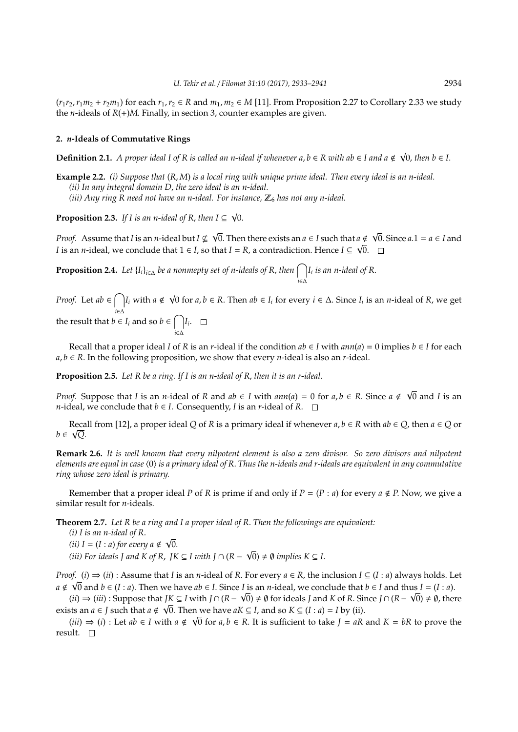$(r_1r_2, r_1m_2 + r_2m_1)$  for each  $r_1, r_2 \in R$  and  $m_1, m_2 \in M$  [11]. From Proposition 2.27 to Corollary 2.33 we study the *n*-ideals of  $R(+)M$ . Finally, in section 3, counter examples are given.

#### **2.** *n***-Ideals of Commutative Rings**

**Definition 2.1.** A proper ideal I of R is called an n-ideal if whenever a, *b* ∈ R with ab ∈ I and a ∉  $\sqrt{0}$ , then *b* ∈ I.

**Example 2.2.** *(i) Suppose that* (*R*, *M*) *is a local ring with unique prime ideal. Then every ideal is an n-ideal. (ii) In any integral domain D*, *the zero ideal is an n-ideal. (iii)* Any ring R need not have an n-ideal. For instance,  $\mathbb{Z}_6$  has not any n-ideal.

**Proposition 2.3.** *If I is an n-ideal of R*, *then I* ⊆ 0.

*Proof.* Assume that *I* is an *n*-ideal but  $I \nsubseteq$  $\overline{0}.$  Then there exists an  $a \in I$  such that  $a \notin I$  $a \notin \sqrt{0}$ . Since  $a.1 = a \in I$  and *I* is an *n*-ideal, we conclude that 1 ∈ *I*, so that *I* = *R*, a contradiction. Hence *I* ⊆  $\sqrt{0}$ .

**Proposition 2.4.** *Let*  $\{I_i\}_{i \in \Delta}$  *be a nonmepty set of n-ideals of R, then*  $\bigcap$ *i*∈∆ *Ii is an n-ideal of R*.

√

*Proof.* Let  $ab \in \bigcap$ *i*∈∆ *I*<sup>*i*</sup> with *a*  $\notin$ 0 for *a*, *b* ∈ *R*. Then *ab* ∈ *I<sup>i</sup>* for every *i* ∈ ∆. Since *I<sup>i</sup>* is an *n*-ideal of *R*, we get the result that  $b \in I_i$  and so  $b \in \bigcap$ *Ii* .

Recall that a proper ideal *I* of *R* is an *r*-ideal if the condition  $ab \in I$  with  $ann(a) = 0$  implies  $b \in I$  for each *a*, *b* ∈ *R*. In the following proposition, we show that every *n*-ideal is also an *r*-ideal.

**Proposition 2.5.** *Let R be a ring. If I is an n-ideal of R*, *then it is an r-ideal.*

*i*∈∆

*Proof.* Suppose that *I* is an *n*-ideal of *R* and  $ab \in I$  with  $ann(a) = 0$  for  $a, b \in R$ . Since  $a \notin \sqrt{0}$  and *I* is an *n*-ideal, we conclude that  $b \in I$ . Consequently, *I* is an *r*-ideal of *R*.  $\Box$ 

Recall from [12], a proper ideal *Q* of *R* is a primary ideal if whenever  $a, b \in R$  with  $ab \in Q$ , then  $a \in Q$  or *b* ∈  $\sqrt{Q}$ .

**Remark 2.6.** *It is well known that every nilpotent element is also a zero divisor. So zero divisors and nilpotent elements are equal in case*  $\langle 0 \rangle$  *is a primary ideal of R. Thus the n-ideals and r-ideals are equivalent in any commutative ring whose zero ideal is primary.*

Remember that a proper ideal *P* of *R* is prime if and only if  $P = (P : a)$  for every  $a \notin P$ . Now, we give a similar result for *n*-ideals.

**Theorem 2.7.** *Let R be a ring and I a proper ideal of R*. *Then the followings are equivalent:*

*(i) I is an n-ideal of R*. *(ii)*  $I = (I : a)$  *for every*  $a \notin \sqrt{0}$ . √ *(iii)* For ideals *J* and *K* of *R*, *JK*  $\subseteq$  *I* with *J*  $\cap$  (*R*  $-$ √  $\overline{0}$ )  $\neq$  *0 implies*  $K \subseteq I$ .

*Proof.* (*i*)  $\Rightarrow$  (*ii*) : Assume that *I* is an *n*-ideal of *R*. For every  $a \in R$ , the inclusion  $I \subseteq (I : a)$  always holds. Let *a* ∉  $\sqrt{0}$  and *b* ∈ (*I* : *a*). Then we have *ab* ∈ *I*. Since *I* is an *n*-ideal, we conclude that *b* ∈ *I* and thus *I* = (*I* : *a*).

 $(iii)$  ⇒  $(iii)$ : Suppose that *JK* ⊆ *I* with *J* ∩ (*R* −  $\sqrt{0}$ ) ≠ Ø for ideals *J* and *K* of *R*. Since *J* ∩ (*R* −  $\sqrt{0}$ ) ≠ Ø, there exists an *a*  $\in$  *J* such that *a*  $\notin \sqrt{0}$ . Then we have *aK*  $\subseteq$  *I*, and so *K*  $\subseteq$  (*I* : *a*) = *I* by (ii).

(*iii*)  $\Rightarrow$  (*i*) : Let *ab* ∈ *I* with *a* ∉ √0 for *a*, *b* ∈ *R*. It is sufficient to take *J* = *aR* and *K* = *bR* to prove the result.

√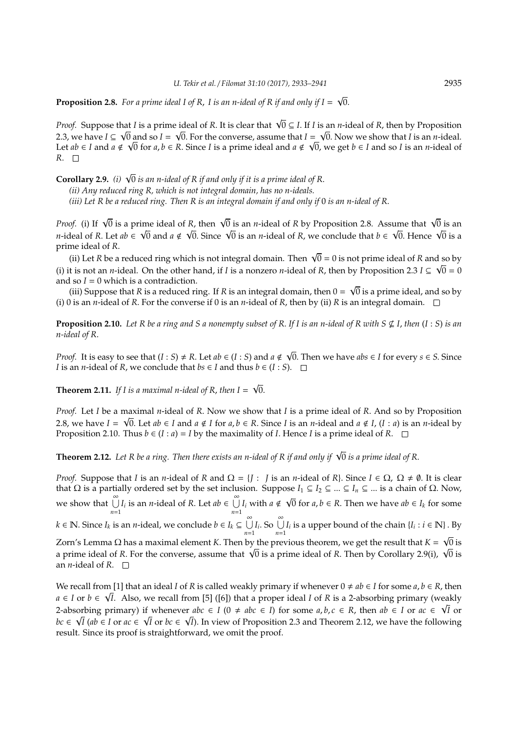**Proposition 2.8.** For a prime ideal I of R, I is an n-ideal of R if and only if  $I = \sqrt{0}$ .

*Proof.* Suppose that *I* is a prime ideal of *R*. It is clear that  $\sqrt{0} \subseteq I$ . If *I* is an *n*-ideal of *R*, then by Proposition 2.3, we have *I* ⊆  $\sqrt{0}$  and so *I* =  $\sqrt{0}$ . For the converse, assume that *I* =  $\sqrt{0}$ . Now we show that *I* is an *n*-ideal. Let *ab* ∈ *I* and *a* ∉  $\sqrt{0}$  for *a*, *b* ∈ *R*. Since *I* is a prime ideal and *a* ∉  $\sqrt{0}$ , we get *b* ∈ *I* and so *I* is an *n*-ideal of *R*. □

**Corollary 2.9.** *(i)* <sup>√</sup> 0 *is an n-ideal of R if and only if it is a prime ideal of R*. *(ii) Any reduced ring R, which is not integral domain, has no n-ideals. (iii) Let R be a reduced ring. Then R is an integral domain if and only if* 0 *is an n-ideal of R*.

*Proof.* (i) If  $\sqrt{0}$  is a prime ideal of *R*, then  $\sqrt{0}$  is an *n*-ideal of *R* by Proposition 2.8. Assume that  $\sqrt{0}$  is an *n*-ideal of *R*. Let *ab* ∈  $\sqrt{0}$  and *a* ∉  $\sqrt{0}$ . Since  $\sqrt{0}$  is an *n*-ideal of *R*, we conclude that *b* ∈  $\sqrt{0}$ . Hence  $\sqrt{0}$  is an *n*-ideal of *R*, we conclude that *b* ∈  $\sqrt{0}$ . Hence  $\sqrt{0}$  is a prime ideal of *R*.

ne ideal of *K*.<br>(ii) Let *R* be a reduced ring which is not integral domain. Then √0 = 0 is not prime ideal of *R* and so by (i) it is not an *n*-ideal. On the other hand, if *I* is a nonzero *n*-ideal of *R*, then by Proposition 2.3 *I*  $\subseteq \sqrt{0} = 0$ and so  $I = 0$  which is a contradiction.

(iii) Suppose that *R* is a reduced ring. If *R* is an integral domain, then 0 = 0 is a prime ideal, and so by (i) 0 is an *n*-ideal of *R*. For the converse if 0 is an *n*-ideal of *R*, then by (ii) *R* is an integral domain.  $\square$ 

**Proposition 2.10.** Let R be a ring and S a nonempty subset of R. If I is an n-ideal of R with  $S \nsubseteq I$ , then  $(I : S)$  is an *n-ideal of R*.

*Proof.* It is easy to see that  $(I : S) \neq R$ . Let  $ab \in (I : S)$  and  $a \notin I$ 0. Then we have *abs* ∈ *I* for every *s* ∈ *S*. Since *I* is an *n*-ideal of *R*, we conclude that  $bs \in I$  and thus  $b \in (I : S)$ .  $\Box$ 

√

√

**Theorem 2.11.** *If I is a maximal n-ideal of R*, *then I* = 0.

*Proof.* Let *I* be a maximal *n*-ideal of *R*. Now we show that *I* is a prime ideal of *R*. And so by Proposition 2.8, we have  $I = \sqrt{0}$ . Let  $ab \in I$  and  $a \notin I$  for  $a, b \in R$ . Since *I* is an *n*-ideal and  $a \notin I$ ,  $(I : a)$  is an *n*-ideal by Proposition 2.10. Thus  $b \in (I : a) = I$  by the maximality of *I*. Hence *I* is a prime ideal of *R*.  $\Box$ 

**Theorem 2.12.** *Let R be a ring. Then there exists an n-ideal of R if and only if* <sup>√</sup> 0 *is a prime ideal of R*.

*Proof.* Suppose that *I* is an *n*-ideal of *R* and  $\Omega = \{J : J \text{ is an } n\text{-ideal of } R\}$ . Since  $I \in \Omega$ ,  $\Omega \neq \emptyset$ . It is clear that Ω is a partially ordered set by the set inclusion. Suppose  $I_1 \subseteq I_2 \subseteq ... \subseteq I_n \subseteq ...$  is a chain of Ω. Now, we show that  $\bigcup_{n=1}^{\infty} I_i$  is an *n*-ideal of *R*. Let  $ab \in \bigcup_{n=1}^{\infty}$  $\bigcup_{n=1}$ *I<sub>i</sub>* with *a*  $\notin$ √  $\overline{0}$  for *a*, *b*  $\in$  *R*. Then we have *ab*  $\in$  *I<sub>k</sub>* for some *k* ∈ **N**. Since *I<sub>k</sub>* is an *n*-ideal, we conclude *b* ∈ *I<sub>k</sub>* ⊆  $\cup$  $\bigcup_{n=1}^{\infty} I_i$ . So  $\bigcup_{n=1}^{\infty} I_i$  is a upper bound of the chain  $\{I_i : i \in \mathbb{N}\}\)$ . By

Zorn's Lemma Ω has a maximal element *K*. Then by the previous theorem, we get the result that *K* = 0 is zorn s Lemma Ω has a maximal element K. Then by the previous theorem, we get the result that K = VU is<br>a prime ideal of R. For the converse, assume that √0 is a prime ideal of R. Then by Corollary 2.9(i), √0 is an *n*-ideal of *R*.  $\square$ 

We recall from [1] that an ideal *I* of *R* is called weakly primary if whenever  $0 \neq ab \in I$  for some  $a, b \in R$ , then *a* ∈ *I* or *b* ∈  $\sqrt{I}$ . Also, we recall from [5] ([6]) that a proper ideal *I* of *R* is a 2-absorbing primary (weakly 2-absorbing primary) if whenever  $abc \in I$  ( $0 \neq abc \in I$ ) for some  $a, b, c \in R$ , then  $ab \in I$  or  $ac \in \sqrt{I}$  or *bc* ∈  $\sqrt{I}$  (*ab* ∈ *I* or *ac* ∈  $\sqrt{I}$  or *bc* ∈  $\sqrt{I}$ ). In view of Proposition 2.3 and Theorem 2.12, we have the following result. Since its proof is straightforward, we omit the proof.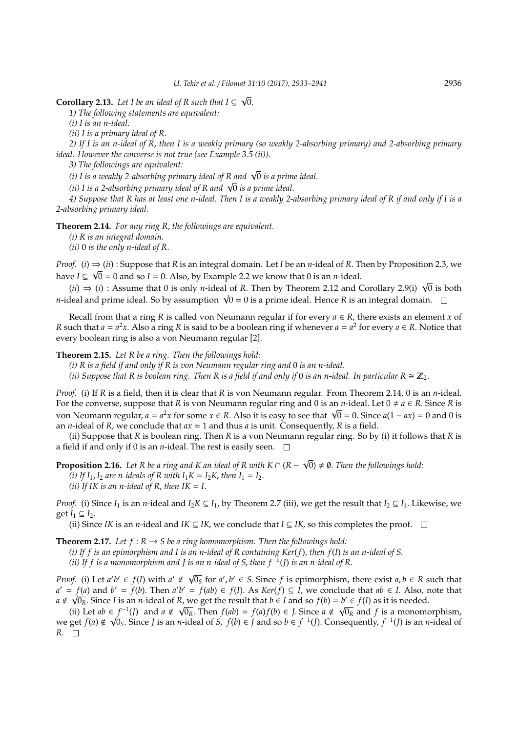√

**Corollary 2.13.** Let I be an ideal of R such that  $I \subseteq \sqrt{0}$ .

*1) The following statements are equivalent:*

*(i) I is an n-ideal.*

*(ii) I is a primary ideal of R*.

*2) If I is an n-ideal of R*, *then I is a weakly primary (so weakly 2-absorbing primary) and 2-absorbing primary ideal. However the converse is not true (see Example 3.5 (ii)).*

*3) The followings are equivalent:*

*(i) I is a weakly 2-absorbing primary ideal of R and* <sup>√</sup> 0 *is a prime ideal.*

(i) I is a weakly 2-absorbing primary ideal of R and ∨0 is a prim<br>(ii) I is a 2-absorbing primary ideal of R and √0 is a prime ideal.

*4) Suppose that R has at least one n-ideal*. *Then I is a weakly 2-absorbing primary ideal of R if and only if I is a 2-absorbing primary ideal.*

**Theorem 2.14.** *For any ring R*, *the followings are equivalent.*

*(i) R is an integral domain.*

*(ii)* 0 *is the only n-ideal of R*.

*Proof.* (*i*)  $\Rightarrow$  (*ii*) : Suppose that *R* is an integral domain. Let *I* be an *n*-ideal of *R*. Then by Proposition 2.3, we have *I* ⊆  $\sqrt{0}$  = 0 and so *I* = 0. Also, by Example 2.2 we know that 0 is an *n*-ideal.

*i*e *i* ⊆  $\sqrt{0}$  = 0 and so *i* = 0. Also, by Example 2.2 we know that 0 is an *n*-ideal.<br>(*ii*) ⇒ (*i*) : Assume that 0 is only *n*-ideal of *R*. Then by Theorem 2.12 and Corollary 2.9(i)  $\sqrt{0}$  is both *n*-ideal and prime ideal. So by assumption  $\sqrt{0} = 0$  is a prime ideal. Hence *R* is an integral domain.<br>*n*-ideal and prime ideal. So by assumption  $\sqrt{0} = 0$  is a prime ideal. Hence *R* is an integral domain.

Recall from that a ring *R* is called von Neumann regular if for every  $a \in R$ , there exists an element *x* of *R* such that  $a = a^2x$ . Also a ring *R* is said to be a boolean ring if whenever  $a = a^2$  for every  $a \in R$ . Notice that every boolean ring is also a von Neumann regular [2].

**Theorem 2.15.** *Let R be a ring. Then the followings hold:*

*(i) R is a field if and only if R is von Neumann regular ring and* 0 *is an n-ideal.*

*(ii) Suppose that R is boolean ring. Then R is a field if and only if* 0 *is an n-ideal. In particular*  $R \cong \mathbb{Z}_2$ .

*Proof.* (i) If *R* is a field, then it is clear that *R* is von Neumann regular. From Theorem 2.14, 0 is an *n*-ideal. For the converse, suppose that *R* is von Neumann regular ring and 0 is an *n*-ideal. Let  $0 \neq a \in R$ . Since *R* is von Neumann regular, *a* = *a* <sup>2</sup>*<sup>x</sup>* for some *<sup>x</sup>* <sup>∈</sup> *<sup>R</sup>*. Also it is easy to see that <sup>√</sup> 0 = 0. Since *a*(1 − *ax*) = 0 and 0 is an *n*-ideal of *R*, we conclude that *ax* = 1 and thus *a* is unit. Consequently, *R* is a field.

(ii) Suppose that *R* is boolean ring. Then *R* is a von Neumann regular ring. So by (i) it follows that *R* is a field if and only if 0 is an *n*-ideal. The rest is easily seen.  $\Box$ 

**Proposition 2.16.** Let R be a ring and K an ideal of R with K ∩ ( $R - \sqrt{0}$ )  $\neq \emptyset$ . Then the followings hold: *(i)* If  $I_1$ ,  $I_2$  are n-ideals of R with  $I_1K = I_2K$ , then  $I_1 = I_2$ . *(ii)* If IK is an n-ideal of R, then  $IK = I$ .

*Proof.* (i) Since  $I_1$  is an *n*-ideal and  $I_2K \subseteq I_1$ , by Theorem 2.7 (iii), we get the result that  $I_2 \subseteq I_1$ . Likewise, we get  $I_1$  ⊆  $I_2$ .

(ii) Since *IK* is an *n*-ideal and *IK* ⊆ *IK*, we conclude that *I* ⊆ *IK*, so this completes the proof.  $□$ 

**Theorem 2.17.** *Let*  $f: R \rightarrow S$  *be a ring homomorphism. Then the followings hold:* 

*(i) If f is an epimorphism and I is an n-ideal of R containing Ker*(*f*), *then f*(*I*) *is an n-ideal of S*.

*(ii) If f is a monomorphism and J is an n-ideal of S*, *then f* <sup>−</sup><sup>1</sup> (*J*) *is an n-ideal of R*.

*Proof.* (i) Let  $a'b' \in f(I)$  with  $a' \notin \sqrt{0_s}$  for  $a', b' \in S$ . Since f is epimorphism, there exist  $a, b \in R$  such that  $a' = f(a)$  and  $b' = f(b)$ . Then  $a'b' = f(ab) \in f(I)$ . As  $Ker(f) \subseteq I$ , we conclude that  $ab \in I$ . Also, note that *a* ∉  $\sqrt{0_R}$ . Since *I* is an *n*-ideal of *R*, we get the result that *b* ∈ *I* and so  $f(b) = b' \in f(I)$  as it is needed.

(ii) Let  $ab \in \underline{f}^{-1}(J)$  and  $a \notin \sqrt{0_R}$ . Then  $f(ab) = f(a)f(b) \in J$ . Since  $a \notin \sqrt{0_R}$  and  $f$  is a monomorphism, we get *f*(*a*) ∉  $\sqrt{0_s}$ . Since *J* is an *n*-ideal of *S*, *f*(*b*) ∈ *J* and so *b* ∈ *f*<sup>-1</sup>(*J*). Consequently, *f*<sup>-1</sup>(*J*) is an *n*-ideal of  $R. \Box$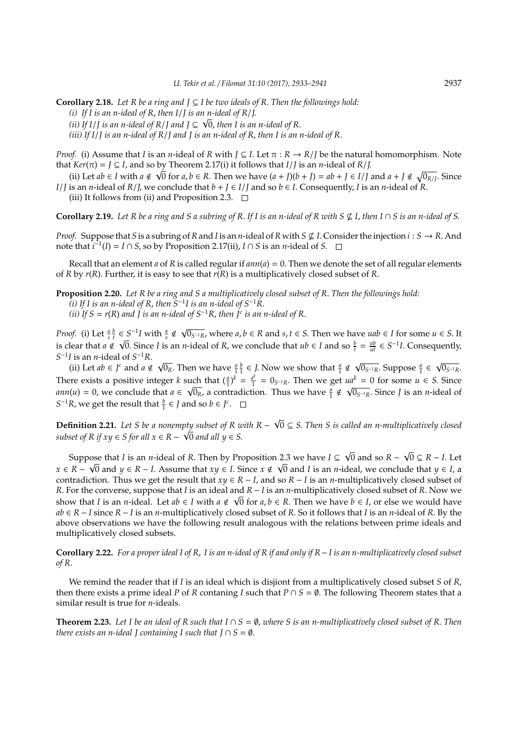**Corollary 2.18.** *Let R be a ring and J* ⊆ *I be two ideals of R*. *Then the followings hold: (i) If I is an n-ideal of R*, *then I*/*J is an n-ideal of R*/*J*. √ *(ii)* If I/*J* is an n-ideal of R/*J* and *J*  $\subseteq$   $\sqrt{0}$ , then I is an n-ideal of R.

*(iii) If I*/*J is an n-ideal of R*/*J and J is an n-ideal of R*, *then I is an n-ideal of R*.

*Proof.* (i) Assume that *I* is an *n*-ideal of *R* with  $J \subseteq I$ . Let  $\pi : R \to R/J$  be the natural homomorphism. Note that  $Ker(\pi) = J \subseteq I$ , and so by Theorem 2.17(i) it follows that  $I/J$  is an *n*-ideal of  $R/J$ .

(ii) Let  $ab \in I$  with  $a \notin \sqrt{0}$  for  $a, b \in R$ . Then we have  $(a + J)(b + J) = ab + J \in I/J$  and  $a + J \notin \sqrt{0R/J}$ . Since *I*/*J* is an *n*-ideal of *R*/*J*, we conclude that  $b + J \in I/J$  and so  $b \in I$ . Consequently, *I* is an *n*-ideal of *R*. (iii) It follows from (ii) and Proposition 2.3.  $\Box$ 

**Corollary 2.19.** Let R be a ring and S a subring of R. If I is an n-ideal of R with  $S \nsubseteq I$ , then  $I \cap S$  is an n-ideal of S.

*Proof.* Suppose that *S* is a subring of *R* and *I* is an *n*-ideal of *R* with  $S \nsubseteq I$ . Consider the injection  $i : S \to R$ . And note that  $i^{-1}(I) = I \cap S$ , so by Proposition 2.17(ii),  $I \cap S$  is an *n*-ideal of *S*.

Recall that an element *a* of *R* is called regular if *ann*(*a*) = 0. Then we denote the set of all regular elements of *R* by *r*(*R*). Further, it is easy to see that *r*(*R*) is a multiplicatively closed subset of *R*.

**Proposition 2.20.** *Let R be a ring and S a multiplicatively closed subset of R*. *Then the followings hold: (i) If I is an n-ideal of R*, *then S*−<sup>1</sup> *I is an n-ideal of S*−1*R*.

*(ii)* If S =  $r(R)$  and  $\tilde{J}$  is an n-ideal of S<sup>−1</sup>R, then  $\tilde{J}^c$  is an n-ideal of R.

*Proof.* (i) Let  $\frac{a}{s} \frac{b}{t} \in S^{-1}I$  with  $\frac{a}{s} \notin \sqrt{I}$  $\leq S^{-1}I$  with  $\frac{a}{s} \notin \sqrt{0_{S^{-1}R}}$ , where  $a, b \in R$  and  $s, t \in S$ . Then we have  $uab \in I$  for some  $u \in S$ . It is clear that *a* ∉ √0. Since *I* is an *n*-ideal of *R*, we conclude that *ub* ∈ *I* and so  $\frac{b}{t} = \frac{ub}{ut} \in S^{-1}I$ . Consequently, *S*<sup>-1</sup>*I* is an *n*-ideal of *S*<sup>-1</sup>*R*.

*l* is an *n*-ideal of  $S^{-1}R$ .<br>(ii) Let *ab* ∈ *J*<sup>*c*</sup> and *a* ∉  $\sim$  $\overline{0_R}$ . Then we have  $\frac{a}{1} \frac{b}{1} \in J$ . Now we show that  $\frac{a}{1} \notin \mathcal{N}$  $\overline{0_{S^{-1}R}}$ . Suppose  $\frac{a}{1}$  ∈  $\sqrt{ }$  $0_{S^{-1}R}$ . There exists a positive integer *k* such that  $(\frac{a}{1})^k = \frac{a^k}{1}$  $\frac{a^k}{1}$  = 0<sub>*S*<sup>−1</sup>R</sub>. Then we get *ua*<sup>*k*</sup> = 0 for some *u* ∈ *S*. Since *ann*(*u*) = 0, we conclude that  $a \in \sqrt{a}$  $\frac{1}{\sqrt{10}}$  cm that  $(\frac{1}{1})^2 = \frac{1}{1} = 0$ <sub>S-1R</sub>. Then we get *u*  $\frac{a}{1} \notin \sqrt{a}$ 0*S* <sup>−</sup>1*R*. Since *J* is an *n*-ideal of *S*<sup>-1</sup>*R*, we get the result that  $\frac{b}{1} \in J$  and so  $b \in J^c$ .

**Definition 2.21.** *Let S be a nonempty subset of R with R* − pty subset of R with R –  $\sqrt{0} \subseteq$  S. Then S is called an n-multiplicatively closed *subset of R if xy*  $\in$  *S for all x*  $\in$  *R*  $\sqrt{0}$  *and all y*  $\in$  *S*.

Suppose that *I* is an *n*-ideal of *R*. Then by Proposition 2.3 we have *I* ⊆ 0 and so *R* − ose that *I* is an *n*-ideal of *R*. Then by Proposition 2.3 we have *I* ⊆  $\sqrt{0}$  and so *R* −  $\sqrt{0}$  ⊆ *R* − *I*. Let *x* ∈ *R* − 0 and *y* ∈ *R* − *I*. Assume that *xy* ∈ *I*. Since *x* < 0 and *I* is an *n*-ideal, we conclude that *y* ∈ *I*, a contradiction. Thus we get the result that  $xy \in R - I$ , and so  $R - I$  is an *n*-multiplicatively closed subset of *R*. For the converse, suppose that *I* is an ideal and *R* − *I* is an *n*-multiplicatively closed subset of *R*. Now we show that *I* is an *n*-ideal. Let  $ab \in I$  with  $a \notin \sqrt{0}$  for  $a, b \in R$ . Then we have  $b \in I$ , or else we would have *ab* ∈ *R* − *I* since *R* − *I* is an *n*-multiplicatively closed subset of *R*. So it follows that *I* is an *n*-ideal of *R*. By the above observations we have the following result analogous with the relations between prime ideals and multiplicatively closed subsets.

**Corollary 2.22.** *For a proper ideal I of R*, *I is an n-ideal of R if and only if R*−*I is an n-multiplicatively closed subset of R*.

We remind the reader that if *I* is an ideal which is disjiont from a multiplicatively closed subset *S* of *R*, then there exists a prime ideal *P* of *R* contaning *I* such that  $P \cap S = \emptyset$ . The following Theorem states that a similar result is true for *n*-ideals.

**Theorem 2.23.** Let I be an ideal of R such that  $I \cap S = \emptyset$ , where S is an n-multiplicatively closed subset of R. Then *there exists an n-ideal J containing I such that*  $J \cap S = \emptyset$ .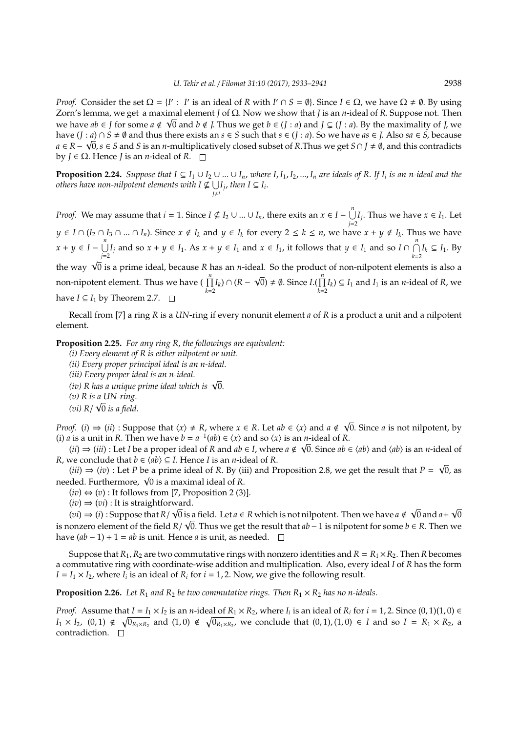*Proof.* Consider the set  $\Omega = \{I' : I' \text{ is an ideal of } R \text{ with } I' \cap S = \emptyset\}$ . Since  $I \in \Omega$ , we have  $\Omega \neq \emptyset$ . By using Zorn's lemma, we get a maximal element *J* of Ω. Now we show that *J* is an *n*-ideal of *R*. Suppose not. Then √ we have  $ab \in J$  for some  $a \notin \sqrt{0}$  and  $b \notin J$ . Thus we get  $b \in (J : a)$  and  $J \subsetneq (J : a)$ . By the maximality of *J*, we have  $(J : a) \cap S \neq \emptyset$  and thus there exists an  $s \in S$  such that  $s \in (J : a)$ . So we have  $as \in J$ . Also  $sa \in S$ , because *a* ∈ *R* −  $\sqrt{0}$ , *s* ∈ *S* and *S* is an *n*-multiplicatively closed subset of *R*.Thus we get *S* ∩ *J* ≠ Ø, and this contradicts by *J* ∈ Ω. Hence *J* is an *n*-ideal of *R*.

**Proposition 2.24.** Suppose that  $I \subseteq I_1 \cup I_2 \cup ... \cup I_n$ , where  $I, I_1, I_2, ..., I_n$  are ideals of R. If  $I_i$  is an n-ideal and the others have non-nilpotent elements with  $I \nsubseteq \bigcup$  $\bigcup_{j \neq i} I_j$ *, then I* ⊆ *I*<sub>*i*</sub>.

*Proof.* We may assume that  $i = 1$ . Since  $I \nsubseteq I_2 \cup ... \cup I_n$ , there exits an  $x \in I - \bigcup^n I_n$  $\bigcup_{j=2}^{\infty} I_j$ . Thus we have *x*  $\in I_1$ . Let  $y \in I \cap (I_2 \cap I_3 \cap ... \cap I_n)$ . Since  $x \notin I_k$  and  $y \in I_k$  for every  $2 \le k \le n$ , we have  $x + y \notin I_k$ . Thus we have  $x + y \in I - \bigcup^{n}$ *j*<sup>*n*</sup></sup>/ $\bigcup_{j=2}^{n}$ *I*<sub>*j*</sub> and so *x* + *y* ∈ *I*<sub>1</sub>. As *x* + *y* ∈ *I*<sub>1</sub> and *x* ∈ *I*<sub>1</sub>, it follows that *y* ∈ *I*<sub>1</sub> and so *I* ∩  $\bigcap_{k=2}^{n}$  $\bigcap_{k=2}^{\infty} I_k$  ⊆  $I_1$ . By the way  $\sqrt{0}$  is a prime ideal, because *R* has an *n*-ideal. So the product of non-nilpotent elements is also a<br> $\frac{n}{n}$ non-nipotent element. Thus we have  $\left(\prod_{k=2}^{n} I_k\right) \cap (R - \sqrt{0}) \neq \emptyset$ . Since *I*.( $\prod_{k=2}^{n}$  $\prod_{k=2}^{n} I_k$ ) ⊆ *I*<sub>1</sub> and *I*<sub>1</sub> is an *n*-ideal of *R*, we have *I* ⊆ *I*<sub>1</sub> by Theorem 2.7.  $□$ 

Recall from [7] a ring *R* is a *UN*-ring if every nonunit element *a* of *R* is a product a unit and a nilpotent element.

**Proposition 2.25.** *For any ring R*, *the followings are equivalent:*

*(i) Every element of R is either nilpotent or unit. (ii) Every proper principal ideal is an n-ideal. (iii) Every proper ideal is an n-ideal.* (111) Every proper 1deal 1s an n-1deal.<br>(iv) R has a unique prime ideal which is √0. *(v) R is a UN-ring.* √

*(vi) R*/ 0 *is a field.*

*Proof.* (*i*)  $\Rightarrow$  (*ii*) : Suppose that  $\langle x \rangle \neq R$ , where  $x \in R$ . Let  $ab \in \langle x \rangle$  and  $a \notin \sqrt{0}$ . Since *a* is not nilpotent, by (i) *a* is a unit in *R*. Then we have  $b = a^{-1}(ab) \in \langle x \rangle$  and so  $\langle x \rangle$  is an *n*-ideal of *R*.

 $(iii)$  ⇒  $(iii)$ : Let *I* be a proper ideal of *R* and  $ab \in I$ , where  $a \notin \sqrt{0}$ . Since  $ab \in \langle ab \rangle$  and  $\langle ab \rangle$  is an *n*-ideal of *R*, we conclude that  $b \in \langle ab \rangle \subseteq I$ . Hence *I* is an *n*-ideal of *R*.

 $(iii) \Rightarrow (iv)$ : Let *P* be a prime ideal of *R*. By (iii) and Proposition 2.8, we get the result that *P* = 0, as  $(n) \Rightarrow (iv)$ : Let *P* be a prime ideal of *K*. By (i<br>needed. Furthermore,  $\sqrt{0}$  is a maximal ideal of *R*.

 $(iv) \Leftrightarrow (v)$ : It follows from [7, Proposition 2 (3)].

 $(iv) \Rightarrow (vi)$ : It is straightforward.

(*vi*)  $\Rightarrow$  (*i*) : Suppose that *R*/ √0 is a field. Let *a* ∈ *R* which is not nilpotent. Then we have *a* ∉ 0 and *a*+ is a field. Let  $a \in R$  which is not nilpotent. Then we have  $a \notin \sqrt{0}$  and  $a+\sqrt{0}$ is nonzero element of the field *R*/  $\sqrt{0}$ . Thus we get the result that *ab* − 1 is nilpotent for some *b* ∈ *R*. Then we have  $(ab - 1) + 1 = ab$  is unit. Hence *a* is unit, as needed.  $□$ 

Suppose that  $R_1$ ,  $R_2$  are two commutative rings with nonzero identities and  $R = R_1 \times R_2$ . Then *R* becomes a commutative ring with coordinate-wise addition and multiplication. Also, every ideal *I* of *R* has the form  $I = I_1 \times I_2$ , where  $I_i$  is an ideal of  $R_i$  for  $i = 1, 2$ . Now, we give the following result.

**Proposition 2.26.** *Let*  $R_1$  *and*  $R_2$  *be two commutative rings. Then*  $R_1 \times R_2$  *has no n-ideals.* 

*Proof.* Assume that  $I = I_1 \times I_2$  is an *n*-ideal of  $R_1 \times R_2$ , where  $I_i$  is an ideal of  $R_i$  for  $i = 1, 2$ . Since  $(0, 1)(1, 0) \in$ *I*<sub>1</sub> × *I*<sub>2</sub>, (0, 1) ∉  $\sqrt{0_{R_1 \times R_2}}$  and (1, 0) ∉  $\sqrt{0_{R_1 \times R_2}}$ , we conclude that (0, 1), (1, 0) ∈ *I* and so *I* =  $R_1 \times R_2$ , a contradiction.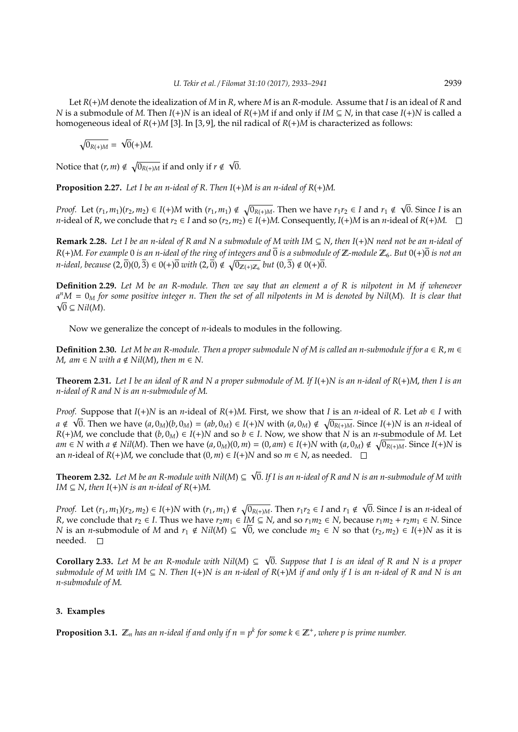Let *R*(+)*M* denote the idealization of *M* in *R*, where *M* is an *R*-module. Assume that *I* is an ideal of *R* and *N* is a submodule of *M*. Then *I*(+)*N* is an ideal of  $R(+)M$  if and only if  $IM \subseteq N$ , in that case  $I(+)N$  is called a homogeneous ideal of *R*(+)*M* [3]. In [3, 9], the nil radical of *R*(+)*M* is characterized as follows:

$$
\sqrt{0_{R(+)M}} = \sqrt{0}(+)M.
$$

Notice that  $(r, m) \notin \sqrt{0_{R(+)M}}$  if and only if  $r \notin \mathbb{R}$ √ 0.

**Proposition 2.27.** *Let I be an n-ideal of R*. *Then I*(+)*M is an n-ideal of R*(+)*M*.

*Proof.* Let  $(r_1, m_1)(r_2, m_2) \in I(+)M$  with  $(r_1, m_1) \notin \sqrt{0_{R(+)M}}$ . Then we have  $r_1r_2 \in I$  and  $r_1 \notin \sqrt{0}$ . Since *I* is an *n*-ideal of *R*, we conclude that  $r_2 \in I$  and so  $(r_2, m_2) \in I(+)M$ . Consequently,  $I(+)M$  is an *n*-ideal of *R*(+)*M*. □

**Remark 2.28.** *Let I be an n-ideal of R and N a submodule of M with IM* ⊆ *N*, *then I*(+)*N need not be an n-ideal of*  $R(+)M$ . For example 0 *is an n-ideal of the ring of integers and*  $\overline{0}$  *is a submodule of*  $\mathbb{Z}$ -module  $\mathbb{Z}_6$ . But  $0(+)\overline{0}$  *is not an n*-ideal, because  $(2,\overline{0})(0,\overline{3}) \in 0(+)$  *o with*  $(2,\overline{0}) \notin \sqrt{0_{\mathbb{Z}(+) \mathbb{Z}_6}}$  *but*  $(0,\overline{3}) \notin 0(+)$  *o*.

**Definition 2.29.** *Let M be an R-module. Then we say that an element a of R is nilpotent in M if whenever a <sup>n</sup>M* = 0*<sup>M</sup> for some positive integer n*. *Then the set of all nilpotents in M is denoted by Nil*(*M*)*. It is clear that* √  $\sqrt{0}$  ⊆ *Nil*(*M*).

Now we generalize the concept of *n*-ideals to modules in the following.

**Definition 2.30.** Let M be an R-module. Then a proper submodule N of M is called an n-submodule if for  $a \in R$ ,  $m \in R$ *M*, am  $\in$  *N* with a  $\notin$  *Nil*(*M*), then  $m \in$  *N*.

**Theorem 2.31.** *Let I be an ideal of R and N a proper submodule of M*. *If I*(+)*N is an n-ideal of R*(+)*M*, *then I is an n-ideal of R and N is an n-submodule of M*.

*Proof.* Suppose that  $I(+)N$  is an *n*-ideal of  $R(+)M$ . First, we show that *I* is an *n*-ideal of *R*. Let  $ab \in I$  with *a* ∉  $\sqrt{0}$ . Then we have  $(a, 0_M)(b, 0_M) = (ab, 0_M) \in I(+)N$  with  $(a, 0_M) \notin \sqrt{0_{R(+)M}}$ . Since  $I(+)N$  is an *n*-ideal of *R*(+)*M*, we conclude that  $(b, 0<sub>M</sub>) ∈ I(+)$ *N* and so  $b ∈ I$ . Now, we show that *N* is an *n*-submodule of *M*. Let  $am \in N$  with  $a \notin Nil(M)$ . Then we have  $(a, 0_M)(0, m) = (0, am) \in I(+)N$  with  $(a, 0_M) \notin \sqrt{0_{R(+)M}}$ . Since  $I(+)N$  is an *n*-ideal of *R*(+)*M*, we conclude that  $(0, m) \in I(+)N$  and so  $m \in N$ , as needed.  $\square$ 

**Theorem 2.32.** *Let M be an R-module with Nil*(*M*) ⊆ 0. *If I is an n-ideal of R and N is an n-submodule of M with IM*  $\subseteq$  *N*, *then I*(+)*N is an n-ideal of R*(+)*M*.

*Proof.* Let  $(r_1, m_1)(r_2, m_2) \in I(+)N$  with  $(r_1, m_1) \notin \sqrt{0_{R(+)M}}$ . Then  $r_1r_2 \in I$  and  $r_1 \notin I(+)$ 0. Since *I* is an *n*-ideal of *R*, we conclude that *r*<sub>2</sub> ∈ *I*. Thus we have *r*<sub>2</sub>*m*<sub>1</sub> ∈ *IM* ⊆ *N*, and so *r*<sub>1</sub>*m*<sub>2</sub> ∈ *N*, because *r*<sub>1</sub>*m*<sub>2</sub> + *r*<sub>2</sub>*m*<sub>1</sub> ∈ *N*. Since *N* is an *n*-submodule of *M* and  $r_1 \notin Nil(M) ⊆ √0$ , we conclude  $m_2 ∈ N$  so that  $(r_2, m_2) ∈ I(+)N$  as it is needed. □

**Corollary 2.33.** Let M be an R-module with Nil(M) ⊆  $\sqrt{0}$ . Suppose that I is an ideal of R and N is a proper *submodule of M with IM*  $\subseteq$  *N. Then I*(+)*N* is an n-ideal of  $R$ (+)*M* if and only if I is an n-ideal of R and N is an *n-submodule of M*.

## **3. Examples**

**Proposition 3.1.**  $\mathbb{Z}_n$  *has an n-ideal if and only if n* =  $p^k$  *for some*  $k \in \mathbb{Z}^+$ *, where p is prime number.*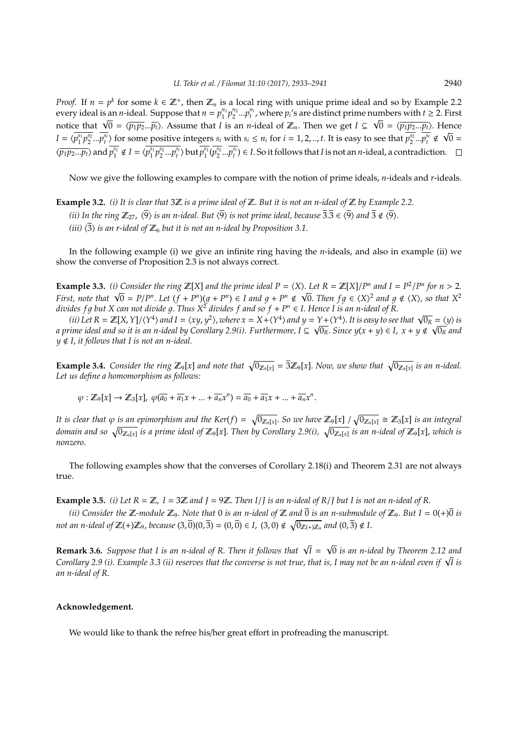*Proof.* If  $n = p^k$  for some  $k \in \mathbb{Z}^+$ , then  $\mathbb{Z}_n$  is a local ring with unique prime ideal and so by Example 2.2 every ideal is an *n*-ideal. Suppose that  $n = p_1^{n_1} p_2^{n_2} ... p_t^{n_t}$ , where  $p_i$ 's are distinct prime numbers with  $t \ge 2$ . First every ideal is an *n*-ideal. Suppose that  $n = p_1 \cdot p_2 \cdot ... \cdot p_t$ , where  $p_i$  is are distinct prime numbers with  $t \ge 2$ . First notice that  $\sqrt{0} = \langle \overline{p_1 p_2} ... \overline{p_t} \rangle$ . Assume that *I* is an *n*-ideal of  $\mathbb{Z}_n$ . Then w  $I = \langle \overline{p_1^{s_1}p_2^{s_2}}...\overline{p_t^{s_t}} \rangle$  for some positive integers  $s_i$  with  $s_i \leq n_i$  for  $i = 1, 2, ..., t$ . It is easy to see that  $\overline{p_2^{s_2}}...\overline{p_t^{s_t}} \notin \sqrt{0}$  $\langle \overline{p_1p_2...p_t} \rangle$  and  $\overline{p_1^{s_1}} \notin I = \langle \overline{p_1^{s_1}p_2^{s_2}...p_t^{s_t}} \rangle$  but  $\overline{p_1^{s_1}(p_2^{s_2}...p_t^{s_t})} \in I$ . So it follows that I is not an *n*-ideal, a contradiction.

Now we give the following examples to compare with the notion of prime ideals, *n*-ideals and *r*-ideals.

**Example 3.2.** *(i) It is clear that* 3Z *is a prime ideal of* Z. *But it is not an n-ideal of* Z *by Example 2.2. (ii) In the ring*  $\mathbb{Z}_{27}$ ,  $\langle \overline{9} \rangle$  *is an n-ideal. But*  $\langle \overline{9} \rangle$  *is not prime ideal, because*  $\overline{3}.\overline{3} \in \langle \overline{9} \rangle$  *and*  $\overline{3} \notin \langle \overline{9} \rangle$ . *(iii)*  $\langle 3 \rangle$  *is an r-ideal of*  $\mathbb{Z}_6$  *but it is not an n-ideal by Proposition 3.1.* 

In the following example (i) we give an infinite ring having the *n*-ideals, and also in example (ii) we show the converse of Proposition 2.3 is not always correct.

**Example 3.3.** *(i)* Consider the ring  $\mathbb{Z}[X]$  and the prime ideal  $P = \langle X \rangle$ . Let  $R = \mathbb{Z}[X]/P^n$  and  $I = P^2/P^n$  for  $n > 2$ . **Example 3.3.** (i) Consider the ring  $\mathbb{Z}[X]$  and the prime ideal  $P = \langle X \rangle$ . Let  $K = \mathbb{Z}[X]/P^n$  and  $I = P^2/P^n$  for  $n > 2$ .<br>First, note that  $\sqrt{0} = P/P^n$ . Let  $(f + P^n)(g + P^n) \in I$  and  $g + P^n \notin \sqrt{0}$ . Then  $fg \in \langle X \rangle^2$  and  $g \notin \langle$ *divides <code>fg</code> but X can not divide g. Thus*  $X^2$  *divides*  $f$  *and so*  $f + P^n \in I$ *. Hence I is an n-ideal of R.* 

aes 5 g out x can not arviae g. 1 nus x- arviaes 5 ana so 5 + P^  $\in$  1. Hence 1 is an n-iaeal of K.<br>(ii) Let R = Z[X, Y]/{Y<sup>4</sup>} and I = {xy, y<sup>2</sup>}, where x = X+{Y<sup>4</sup>} and y = Y+{Y<sup>4</sup>}. It is easy to see that  $\sqrt{0_R} = \langle y \$ *a prime ideal and so it is an n-ideal by Corollary 2.9(i). Furthermore, I ⊆*  $\sqrt{0_R}$ *. Since y(x + y) ∈ I, x + y ∉*  $\sqrt{0_R}$  *and*  $y \notin I$ , *it follows that I is not an n-ideal.* 

**Example 3.4.** Consider the ring  $\mathbb{Z}_9[x]$  and note that  $\sqrt{0_{\mathbb{Z}_9[x]}} = \frac{3}{2}\mathbb{Z}_9[x]$ . Now, we show that  $\sqrt{0_{\mathbb{Z}_9[x]}}$  is an n-ideal. *Let us define a homomorphism as follows:*

$$
\varphi: \mathbb{Z}_{9}[x] \rightarrow \mathbb{Z}_{3}[x], \ \varphi(\overline{a_{0}} + \overline{a_{1}}x + \ldots + \overline{a_{n}}x^{n}) = \overline{a_{0}} + \overline{a_{1}}x + \ldots + \overline{a_{n}}x^{n}.
$$

It is clear that  $\varphi$  is an epimorphism and the Ker(f) =  $\sqrt{0_{\mathbb{Z}_9[x]}}$ . So we have  $\mathbb{Z}_9[x]$  /  $\sqrt{0_{\mathbb{Z}_9[x]}}\cong \mathbb{Z}_3[x]$  is an integral domain and so  $\sqrt{0_{\Z_9[x]}}$  is a prime ideal of  $\Z_9[x]$ . Then by Corollary 2.9(i),  $\sqrt{0_{\Z_9[x]}}$  is an n-ideal of  $\Z_9[x]$ , which is *nonzero.*

The following examples show that the converses of Corollary 2.18(i) and Theorem 2.31 are not always true.

**Example 3.5.** *(i) Let*  $R = \mathbb{Z}$ ,  $I = 3\mathbb{Z}$  and  $I = 9\mathbb{Z}$ . Then  $I/I$  is an n-ideal of R/*I* but *I* is not an n-ideal of R.

*(ii)* Consider the  $\mathbb{Z}$ -module  $\mathbb{Z}_9$ . Note that 0 *is an n-ideal of*  $\mathbb{Z}$  *and*  $\overline{0}$  *is an n-submodule of*  $\mathbb{Z}_9$ . But  $I = 0(+)\overline{0}$  *is not an n-ideal of*  $\mathbb{Z}(+) \mathbb{Z}_9$ *, because*  $(3,\overline{0})(0,\overline{3}) = (0,\overline{0}) \in I$ ,  $(3,0) \notin \sqrt{0_{\mathbb{Z}(+) \mathbb{Z}_9}}$  and  $(0,\overline{3}) \notin I$ .

**Remark 3.6.** Suppose that I is an n-ideal of R. Then it follows that  $\sqrt{I}$  = 0 *is an n-ideal by Theorem 2.12 and* **Remark 3.6.** Suppose that I is an n-ideal of R. Then it follows that NI = N0 is an n-ideal by Theorem 2.12 and<br>Corollary 2.9 (i). Example 3.3 (ii) reserves that the converse is not true, that is, I may not be an n-ideal *an n-ideal of R*.

## **Acknowledgement.**

We would like to thank the refree his/her great effort in profreading the manuscript.